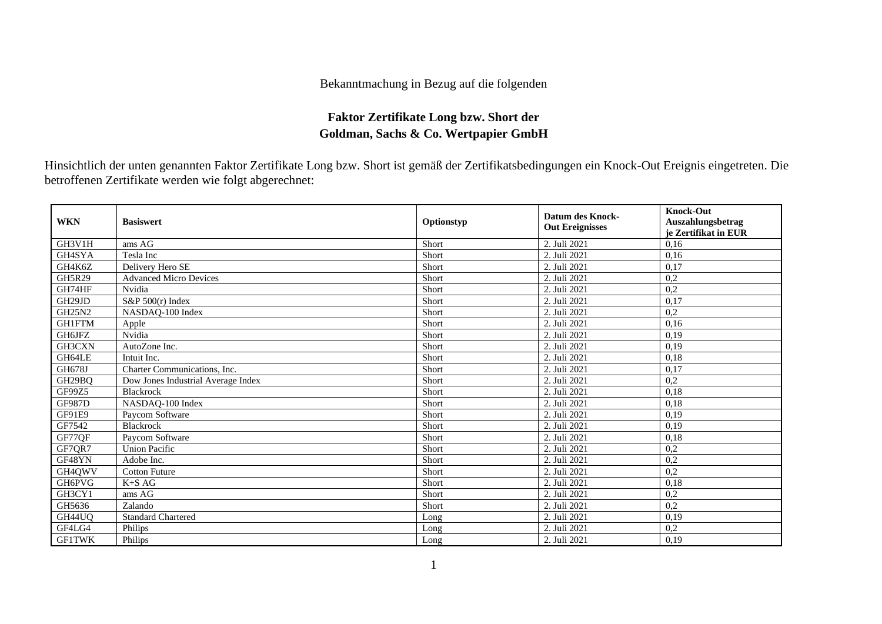## Bekanntmachung in Bezug auf die folgenden

## **Faktor Zertifikate Long bzw. Short der Goldman, Sachs & Co. Wertpapier GmbH**

Hinsichtlich der unten genannten Faktor Zertifikate Long bzw. Short ist gemäß der Zertifikatsbedingungen ein Knock-Out Ereignis eingetreten. Die betroffenen Zertifikate werden wie folgt abgerechnet:

| <b>WKN</b>    | <b>Basiswert</b>                   | Optionstyp | <b>Datum des Knock-</b><br><b>Out Ereignisses</b> | <b>Knock-Out</b><br>Auszahlungsbetrag<br>je Zertifikat in EUR |
|---------------|------------------------------------|------------|---------------------------------------------------|---------------------------------------------------------------|
| GH3V1H        | ams AG                             | Short      | 2. Juli 2021                                      | 0.16                                                          |
| GH4SYA        | Tesla Inc                          | Short      | 2. Juli 2021                                      | 0,16                                                          |
| GH4K6Z        | Delivery Hero SE                   | Short      | 2. Juli 2021                                      | 0,17                                                          |
| <b>GH5R29</b> | <b>Advanced Micro Devices</b>      | Short      | 2. Juli 2021                                      | 0,2                                                           |
| GH74HF        | Nvidia                             | Short      | 2. Juli 2021                                      | 0,2                                                           |
| GH29JD        | $S\&P 500(r)$ Index                | Short      | 2. Juli 2021                                      | 0.17                                                          |
| <b>GH25N2</b> | NASDAQ-100 Index                   | Short      | 2. Juli 2021                                      | 0,2                                                           |
| GH1FTM        | Apple                              | Short      | 2. Juli 2021                                      | 0,16                                                          |
| GH6JFZ        | Nvidia                             | Short      | 2. Juli 2021                                      | 0,19                                                          |
| GH3CXN        | AutoZone Inc.                      | Short      | 2. Juli 2021                                      | 0,19                                                          |
| GH64LE        | Intuit Inc.                        | Short      | 2. Juli 2021                                      | 0,18                                                          |
| <b>GH678J</b> | Charter Communications, Inc.       | Short      | 2. Juli 2021                                      | 0,17                                                          |
| GH29BQ        | Dow Jones Industrial Average Index | Short      | 2. Juli 2021                                      | 0,2                                                           |
| GF99Z5        | Blackrock                          | Short      | 2. Juli 2021                                      | 0,18                                                          |
| <b>GF987D</b> | NASDAQ-100 Index                   | Short      | 2. Juli 2021                                      | 0,18                                                          |
| <b>GF91E9</b> | Paycom Software                    | Short      | 2. Juli 2021                                      | 0,19                                                          |
| GF7542        | <b>Blackrock</b>                   | Short      | 2. Juli 2021                                      | 0,19                                                          |
| GF77QF        | Paycom Software                    | Short      | 2. Juli 2021                                      | 0,18                                                          |
| GF7QR7        | <b>Union Pacific</b>               | Short      | 2. Juli 2021                                      | 0,2                                                           |
| GF48YN        | Adobe Inc.                         | Short      | 2. Juli 2021                                      | 0,2                                                           |
| GH4QWV        | <b>Cotton Future</b>               | Short      | 2. Juli 2021                                      | 0,2                                                           |
| GH6PVG        | $K+SAG$                            | Short      | 2. Juli 2021                                      | 0,18                                                          |
| GH3CY1        | ams AG                             | Short      | 2. Juli 2021                                      | 0,2                                                           |
| GH5636        | Zalando                            | Short      | 2. Juli 2021                                      | $\overline{0,2}$                                              |
| GH44UQ        | <b>Standard Chartered</b>          | Long       | 2. Juli 2021                                      | 0,19                                                          |
| GF4LG4        | Philips                            | Long       | 2. Juli 2021                                      | 0,2                                                           |
| <b>GF1TWK</b> | Philips                            | Long       | 2. Juli 2021                                      | 0,19                                                          |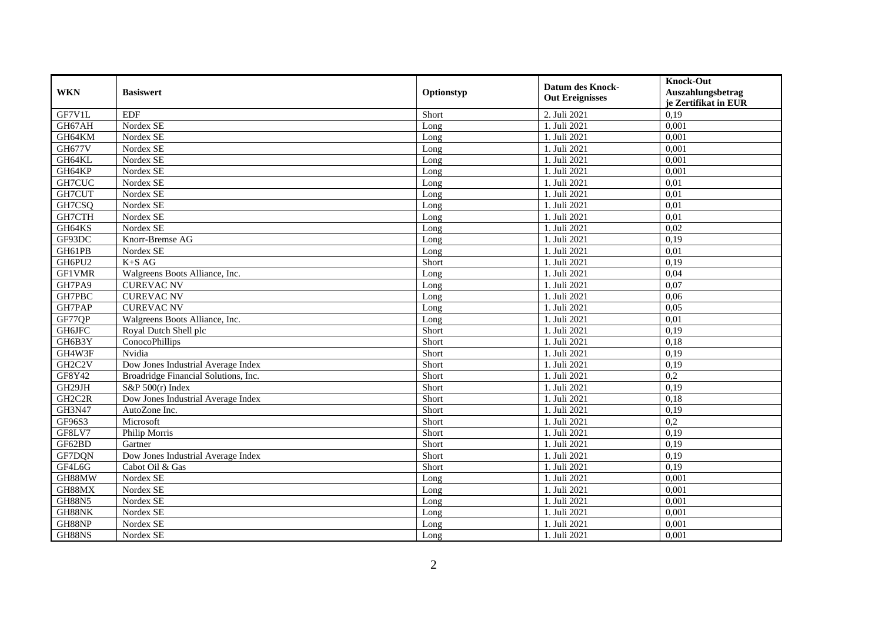| <b>WKN</b>                       | <b>Basiswert</b>                     | Optionstyp | <b>Datum des Knock-</b><br><b>Out Ereignisses</b> | <b>Knock-Out</b><br>Auszahlungsbetrag<br>je Zertifikat in EUR |
|----------------------------------|--------------------------------------|------------|---------------------------------------------------|---------------------------------------------------------------|
| GF7V1L                           | <b>EDF</b>                           | Short      | 2. Juli 2021                                      | 0,19                                                          |
| GH67AH                           | Nordex SE                            | Long       | 1. Juli 2021                                      | 0,001                                                         |
| GH64KM                           | Nordex SE                            | Long       | 1. Juli 2021                                      | 0,001                                                         |
| <b>GH677V</b>                    | Nordex SE                            | Long       | 1. Juli 2021                                      | 0,001                                                         |
| GH64KL                           | Nordex SE                            | Long       | 1. Juli 2021                                      | 0,001                                                         |
| GH64KP                           | Nordex SE                            | Long       | 1. Juli 2021                                      | 0,001                                                         |
| GH7CUC                           | Nordex SE                            | Long       | 1. Juli 2021                                      | 0,01                                                          |
| GH7CUT                           | Nordex SE                            | Long       | 1. Juli 2021                                      | 0,01                                                          |
| GH7CSQ                           | Nordex SE                            | Long       | 1. Juli 2021                                      | 0,01                                                          |
| GH7CTH                           | Nordex SE                            | Long       | 1. Juli 2021                                      | 0,01                                                          |
| GH64KS                           | Nordex SE                            | Long       | 1. Juli 2021                                      | 0,02                                                          |
| GF93DC                           | Knorr-Bremse AG                      | Long       | 1. Juli 2021                                      | 0,19                                                          |
| GH61PB                           | Nordex SE                            | Long       | 1. Juli 2021                                      | 0,01                                                          |
| GH6PU2                           | $K+SAG$                              | Short      | 1. Juli 2021                                      | 0,19                                                          |
| <b>GF1VMR</b>                    | Walgreens Boots Alliance, Inc.       | Long       | 1. Juli 2021                                      | 0,04                                                          |
| GH7PA9                           | <b>CUREVAC NV</b>                    | Long       | 1. Juli 2021                                      | 0,07                                                          |
| GH7PBC                           | <b>CUREVAC NV</b>                    | Long       | 1. Juli 2021                                      | 0,06                                                          |
| <b>GH7PAP</b>                    | <b>CUREVAC NV</b>                    | Long       | 1. Juli 2021                                      | 0,05                                                          |
| GF77QP                           | Walgreens Boots Alliance, Inc.       | Long       | 1. Juli 2021                                      | 0,01                                                          |
| GH6JFC                           | Royal Dutch Shell plc                | Short      | 1. Juli 2021                                      | 0,19                                                          |
| GH6B3Y                           | ConocoPhillips                       | Short      | 1. Juli 2021                                      | 0.18                                                          |
| GH4W3F                           | Nvidia                               | Short      | 1. Juli 2021                                      | 0,19                                                          |
| GH <sub>2</sub> C <sub>2</sub> V | Dow Jones Industrial Average Index   | Short      | 1. Juli 2021                                      | 0,19                                                          |
| GF8Y42                           | Broadridge Financial Solutions, Inc. | Short      | 1. Juli 2021                                      | 0,2                                                           |
| GH29JH                           | S&P $500(r)$ Index                   | Short      | 1. Juli 2021                                      | 0,19                                                          |
| GH <sub>2</sub> C <sub>2R</sub>  | Dow Jones Industrial Average Index   | Short      | 1. Juli 2021                                      | 0.18                                                          |
| <b>GH3N47</b>                    | AutoZone Inc.                        | Short      | 1. Juli 2021                                      | 0,19                                                          |
| GF96S3                           | Microsoft                            | Short      | 1. Juli 2021                                      | 0,2                                                           |
| GF8LV7                           | Philip Morris                        | Short      | 1. Juli 2021                                      | 0,19                                                          |
| GF62BD                           | Gartner                              | Short      | 1. Juli 2021                                      | 0,19                                                          |
| GF7DQN                           | Dow Jones Industrial Average Index   | Short      | 1. Juli 2021                                      | 0,19                                                          |
| GF4L6G                           | Cabot Oil & Gas                      | Short      | 1. Juli 2021                                      | 0,19                                                          |
| GH88MW                           | Nordex SE                            | Long       | 1. Juli 2021                                      | 0,001                                                         |
| GH88MX                           | Nordex SE                            | Long       | 1. Juli 2021                                      | 0,001                                                         |
| <b>GH88N5</b>                    | Nordex SE                            | Long       | 1. Juli 2021                                      | 0,001                                                         |
| GH88NK                           | Nordex SE                            | Long       | 1. Juli 2021                                      | 0,001                                                         |
| GH88NP                           | Nordex SE                            | Long       | 1. Juli 2021                                      | 0,001                                                         |
| GH88NS                           | Nordex SE                            | Long       | 1. Juli 2021                                      | 0,001                                                         |